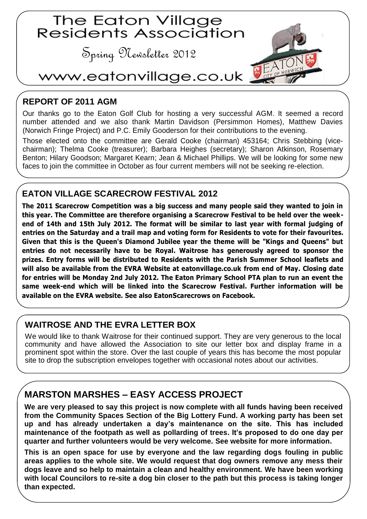

## **REPORT OF 2011 AGM**

Our thanks go to the Eaton Golf Club for hosting a very successful AGM. It seemed a record number attended and we also thank Martin Davidson (Persimmon Homes), Matthew Davies (Norwich Fringe Project) and P.C. Emily Gooderson for their contributions to the evening.

Those elected onto the committee are Gerald Cooke (chairman) 453164; Chris Stebbing (vicechairman); Thelma Cooke (treasurer); Barbara Heighes (secretary); Sharon Atkinson, Rosemary Benton; Hilary Goodson; Margaret Kearn; Jean & Michael Phillips. We will be looking for some new faces to join the committee in October as four current members will not be seeking re-election.

## **EATON VILLAGE SCARECROW FESTIVAL 2012**

**The 2011 Scarecrow Competition was a big success and many people said they wanted to join in this year. The Committee are therefore organising a Scarecrow Festival to be held over the weekend of 14th and 15th July 2012. The format will be similar to last year with formal judging of entries on the Saturday and a trail map and voting form for Residents to vote for their favouri tes. Given that this is the Queen's Diamond Jubilee year the theme will be "Kings and Queens" but entries do not necessarily have to be Royal. Waitrose has generously agreed to sponsor the prizes. Entry forms will be distributed to Residents with the Parish Summer School leaflets and will also be available from the EVRA Website at eatonvillage.co.uk from end of May. Closing date for entries will be Monday 2nd July 2012. The Eaton Primary School PTA plan to run an event the same week-end which will be linked into the Scarecrow Festival. Further information will be available on the EVRA website. See also EatonScarecrows on Facebook.**

# **WAITROSE AND THE EVRA LETTER BOX**

We would like to thank Waitrose for their continued support. They are very generous to the local community and have allowed the Association to site our letter box and display frame in a prominent spot within the store. Over the last couple of years this has become the most popular site to drop the subscription envelopes together with occasional notes about our activities.

# **MARSTON MARSHES – EASY ACCESS PROJECT**

**We are very pleased to say this project is now complete with all funds having been received from the Community Spaces Section of the Big Lottery Fund. A working party has been set up and has already undertaken a day's maintenance on the site. This has included maintenance of the footpath as well as pollarding of trees. It's proposed to do one day per quarter and further volunteers would be very welcome. See website for more information.**

**This is an open space for use by everyone and the law regarding dogs fouling in public areas applies to the whole site. We would request that dog owners remove any mess their dogs leave and so help to maintain a clean and healthy environment. We have been working with local Councilors to re-site a dog bin closer to the path but this process is taking longer than expected.**